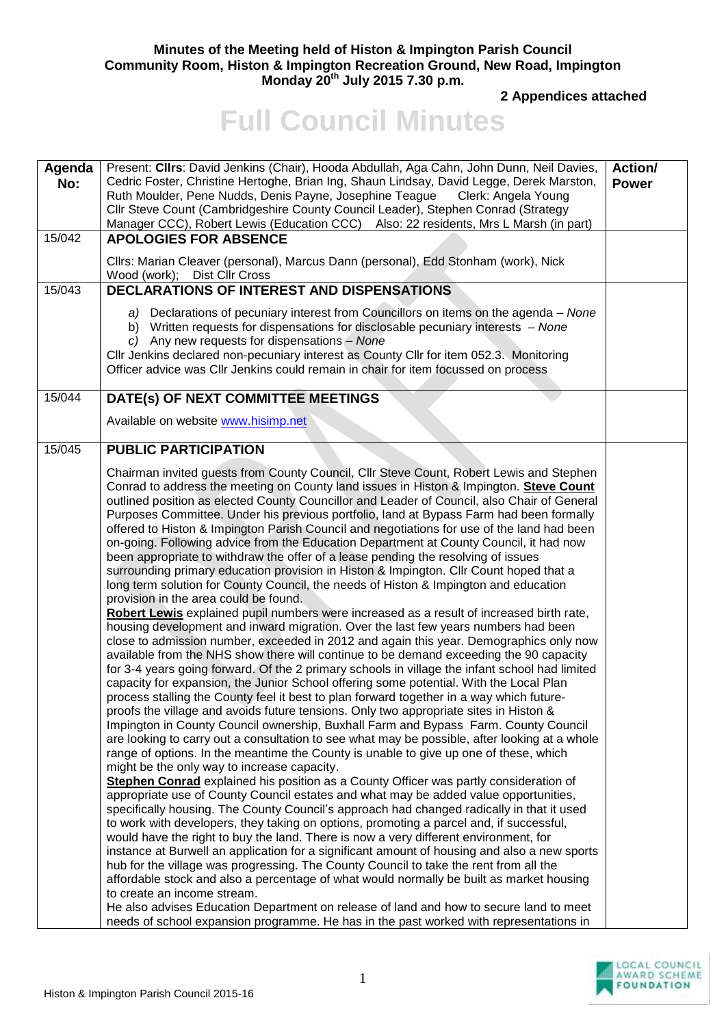## **Minutes of the Meeting held of Histon & Impington Parish Council Community Room, Histon & Impington Recreation Ground, New Road, Impington Monday 20th July 2015 7.30 p.m.**

**2 Appendices attached** 

## **Full Council Minutes**

| Agenda<br>No: | Present: Cllrs: David Jenkins (Chair), Hooda Abdullah, Aga Cahn, John Dunn, Neil Davies,<br>Cedric Foster, Christine Hertoghe, Brian Ing, Shaun Lindsay, David Legge, Derek Marston,<br>Ruth Moulder, Pene Nudds, Denis Payne, Josephine Teague<br>Clerk: Angela Young<br>Cllr Steve Count (Cambridgeshire County Council Leader), Stephen Conrad (Strategy<br>Manager CCC), Robert Lewis (Education CCC) Also: 22 residents, Mrs L Marsh (in part)                                                                                                                                                                                                                                                                                                                                                                                                                                                                                                                                                                                                                                                                                                                                                                                                                                                                                                                                                                                                                                                                                                                                                                                                                                                                                                                                                                                                                                                                                                                                                                                                                                                                                                                                                                                                                                                                                                                                                                                                                                                                                                                                                                                                                                                                                                                                                                                                                                                                                                 | <b>Action/</b><br><b>Power</b> |
|---------------|-----------------------------------------------------------------------------------------------------------------------------------------------------------------------------------------------------------------------------------------------------------------------------------------------------------------------------------------------------------------------------------------------------------------------------------------------------------------------------------------------------------------------------------------------------------------------------------------------------------------------------------------------------------------------------------------------------------------------------------------------------------------------------------------------------------------------------------------------------------------------------------------------------------------------------------------------------------------------------------------------------------------------------------------------------------------------------------------------------------------------------------------------------------------------------------------------------------------------------------------------------------------------------------------------------------------------------------------------------------------------------------------------------------------------------------------------------------------------------------------------------------------------------------------------------------------------------------------------------------------------------------------------------------------------------------------------------------------------------------------------------------------------------------------------------------------------------------------------------------------------------------------------------------------------------------------------------------------------------------------------------------------------------------------------------------------------------------------------------------------------------------------------------------------------------------------------------------------------------------------------------------------------------------------------------------------------------------------------------------------------------------------------------------------------------------------------------------------------------------------------------------------------------------------------------------------------------------------------------------------------------------------------------------------------------------------------------------------------------------------------------------------------------------------------------------------------------------------------------------------------------------------------------------------------------------------------------|--------------------------------|
| 15/042        | <b>APOLOGIES FOR ABSENCE</b>                                                                                                                                                                                                                                                                                                                                                                                                                                                                                                                                                                                                                                                                                                                                                                                                                                                                                                                                                                                                                                                                                                                                                                                                                                                                                                                                                                                                                                                                                                                                                                                                                                                                                                                                                                                                                                                                                                                                                                                                                                                                                                                                                                                                                                                                                                                                                                                                                                                                                                                                                                                                                                                                                                                                                                                                                                                                                                                        |                                |
|               | Cllrs: Marian Cleaver (personal), Marcus Dann (personal), Edd Stonham (work), Nick<br>Wood (work); Dist Cllr Cross                                                                                                                                                                                                                                                                                                                                                                                                                                                                                                                                                                                                                                                                                                                                                                                                                                                                                                                                                                                                                                                                                                                                                                                                                                                                                                                                                                                                                                                                                                                                                                                                                                                                                                                                                                                                                                                                                                                                                                                                                                                                                                                                                                                                                                                                                                                                                                                                                                                                                                                                                                                                                                                                                                                                                                                                                                  |                                |
| 15/043        | DECLARATIONS OF INTEREST AND DISPENSATIONS                                                                                                                                                                                                                                                                                                                                                                                                                                                                                                                                                                                                                                                                                                                                                                                                                                                                                                                                                                                                                                                                                                                                                                                                                                                                                                                                                                                                                                                                                                                                                                                                                                                                                                                                                                                                                                                                                                                                                                                                                                                                                                                                                                                                                                                                                                                                                                                                                                                                                                                                                                                                                                                                                                                                                                                                                                                                                                          |                                |
|               | a) Declarations of pecuniary interest from Councillors on items on the agenda - None<br>b) Written requests for dispensations for disclosable pecuniary interests - None<br>c) Any new requests for dispensations - None<br>CIIr Jenkins declared non-pecuniary interest as County CIIr for item 052.3. Monitoring<br>Officer advice was Cllr Jenkins could remain in chair for item focussed on process                                                                                                                                                                                                                                                                                                                                                                                                                                                                                                                                                                                                                                                                                                                                                                                                                                                                                                                                                                                                                                                                                                                                                                                                                                                                                                                                                                                                                                                                                                                                                                                                                                                                                                                                                                                                                                                                                                                                                                                                                                                                                                                                                                                                                                                                                                                                                                                                                                                                                                                                            |                                |
| 15/044        | DATE(s) OF NEXT COMMITTEE MEETINGS                                                                                                                                                                                                                                                                                                                                                                                                                                                                                                                                                                                                                                                                                                                                                                                                                                                                                                                                                                                                                                                                                                                                                                                                                                                                                                                                                                                                                                                                                                                                                                                                                                                                                                                                                                                                                                                                                                                                                                                                                                                                                                                                                                                                                                                                                                                                                                                                                                                                                                                                                                                                                                                                                                                                                                                                                                                                                                                  |                                |
|               | Available on website www.hisimp.net                                                                                                                                                                                                                                                                                                                                                                                                                                                                                                                                                                                                                                                                                                                                                                                                                                                                                                                                                                                                                                                                                                                                                                                                                                                                                                                                                                                                                                                                                                                                                                                                                                                                                                                                                                                                                                                                                                                                                                                                                                                                                                                                                                                                                                                                                                                                                                                                                                                                                                                                                                                                                                                                                                                                                                                                                                                                                                                 |                                |
| 15/045        | <b>PUBLIC PARTICIPATION</b>                                                                                                                                                                                                                                                                                                                                                                                                                                                                                                                                                                                                                                                                                                                                                                                                                                                                                                                                                                                                                                                                                                                                                                                                                                                                                                                                                                                                                                                                                                                                                                                                                                                                                                                                                                                                                                                                                                                                                                                                                                                                                                                                                                                                                                                                                                                                                                                                                                                                                                                                                                                                                                                                                                                                                                                                                                                                                                                         |                                |
|               | Chairman invited guests from County Council, Cllr Steve Count, Robert Lewis and Stephen<br>Conrad to address the meeting on County land issues in Histon & Impington. Steve Count<br>outlined position as elected County Councillor and Leader of Council, also Chair of General<br>Purposes Committee. Under his previous portfolio, land at Bypass Farm had been formally<br>offered to Histon & Impington Parish Council and negotiations for use of the land had been<br>on-going. Following advice from the Education Department at County Council, it had now<br>been appropriate to withdraw the offer of a lease pending the resolving of issues<br>surrounding primary education provision in Histon & Impington. Cllr Count hoped that a<br>long term solution for County Council, the needs of Histon & Impington and education<br>provision in the area could be found.<br>Robert Lewis explained pupil numbers were increased as a result of increased birth rate,<br>housing development and inward migration. Over the last few years numbers had been<br>close to admission number, exceeded in 2012 and again this year. Demographics only now<br>available from the NHS show there will continue to be demand exceeding the 90 capacity<br>for 3-4 years going forward. Of the 2 primary schools in village the infant school had limited<br>capacity for expansion, the Junior School offering some potential. With the Local Plan<br>process stalling the County feel it best to plan forward together in a way which future-<br>proofs the village and avoids future tensions. Only two appropriate sites in Histon &<br>Impington in County Council ownership, Buxhall Farm and Bypass Farm. County Council<br>are looking to carry out a consultation to see what may be possible, after looking at a whole<br>range of options. In the meantime the County is unable to give up one of these, which<br>might be the only way to increase capacity.<br>Stephen Conrad explained his position as a County Officer was partly consideration of<br>appropriate use of County Council estates and what may be added value opportunities,<br>specifically housing. The County Council's approach had changed radically in that it used<br>to work with developers, they taking on options, promoting a parcel and, if successful,<br>would have the right to buy the land. There is now a very different environment, for<br>instance at Burwell an application for a significant amount of housing and also a new sports<br>hub for the village was progressing. The County Council to take the rent from all the<br>affordable stock and also a percentage of what would normally be built as market housing<br>to create an income stream.<br>He also advises Education Department on release of land and how to secure land to meet<br>needs of school expansion programme. He has in the past worked with representations in |                                |

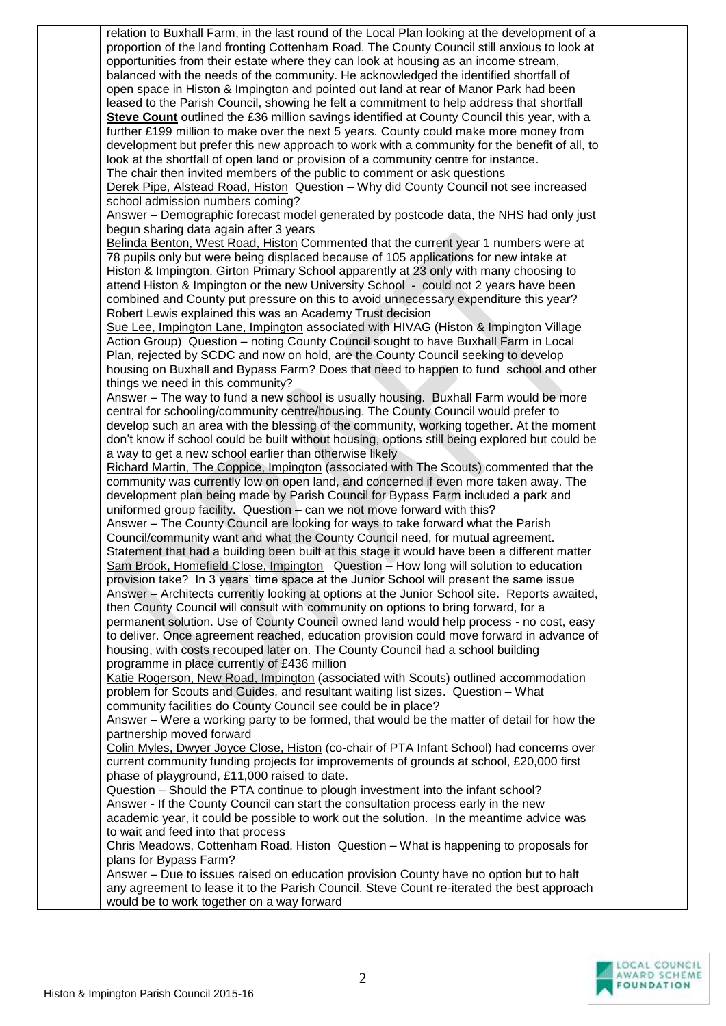relation to Buxhall Farm, in the last round of the Local Plan looking at the development of a proportion of the land fronting Cottenham Road. The County Council still anxious to look at opportunities from their estate where they can look at housing as an income stream, balanced with the needs of the community. He acknowledged the identified shortfall of open space in Histon & Impington and pointed out land at rear of Manor Park had been leased to the Parish Council, showing he felt a commitment to help address that shortfall **Steve Count** outlined the £36 million savings identified at County Council this year, with a further £199 million to make over the next 5 years. County could make more money from development but prefer this new approach to work with a community for the benefit of all, to look at the shortfall of open land or provision of a community centre for instance. The chair then invited members of the public to comment or ask questions Derek Pipe, Alstead Road, Histon Question – Why did County Council not see increased school admission numbers coming? Answer – Demographic forecast model generated by postcode data, the NHS had only just begun sharing data again after 3 years Belinda Benton, West Road, Histon Commented that the current year 1 numbers were at 78 pupils only but were being displaced because of 105 applications for new intake at Histon & Impington. Girton Primary School apparently at 23 only with many choosing to attend Histon & Impington or the new University School - could not 2 years have been combined and County put pressure on this to avoid unnecessary expenditure this year? Robert Lewis explained this was an Academy Trust decision Sue Lee, Impington Lane, Impington associated with HIVAG (Histon & Impington Village Action Group) Question – noting County Council sought to have Buxhall Farm in Local Plan, rejected by SCDC and now on hold, are the County Council seeking to develop housing on Buxhall and Bypass Farm? Does that need to happen to fund school and other things we need in this community? Answer – The way to fund a new school is usually housing. Buxhall Farm would be more central for schooling/community centre/housing. The County Council would prefer to develop such an area with the blessing of the community, working together. At the moment don't know if school could be built without housing, options still being explored but could be a way to get a new school earlier than otherwise likely Richard Martin, The Coppice, Impington (associated with The Scouts) commented that the community was currently low on open land, and concerned if even more taken away. The development plan being made by Parish Council for Bypass Farm included a park and uniformed group facility. Question – can we not move forward with this? Answer – The County Council are looking for ways to take forward what the Parish Council/community want and what the County Council need, for mutual agreement. Statement that had a building been built at this stage it would have been a different matter Sam Brook, Homefield Close, Impington Question – How long will solution to education provision take? In 3 years' time space at the Junior School will present the same issue Answer – Architects currently looking at options at the Junior School site. Reports awaited, then County Council will consult with community on options to bring forward, for a permanent solution. Use of County Council owned land would help process - no cost, easy to deliver. Once agreement reached, education provision could move forward in advance of housing, with costs recouped later on. The County Council had a school building programme in place currently of £436 million Katie Rogerson, New Road, Impington (associated with Scouts) outlined accommodation problem for Scouts and Guides, and resultant waiting list sizes. Question – What community facilities do County Council see could be in place? Answer – Were a working party to be formed, that would be the matter of detail for how the partnership moved forward Colin Myles, Dwyer Joyce Close, Histon (co-chair of PTA Infant School) had concerns over current community funding projects for improvements of grounds at school, £20,000 first phase of playground, £11,000 raised to date. Question – Should the PTA continue to plough investment into the infant school? Answer - If the County Council can start the consultation process early in the new academic year, it could be possible to work out the solution. In the meantime advice was to wait and feed into that process Chris Meadows, Cottenham Road, Histon Question – What is happening to proposals for plans for Bypass Farm? Answer – Due to issues raised on education provision County have no option but to halt any agreement to lease it to the Parish Council. Steve Count re-iterated the best approach would be to work together on a way forward

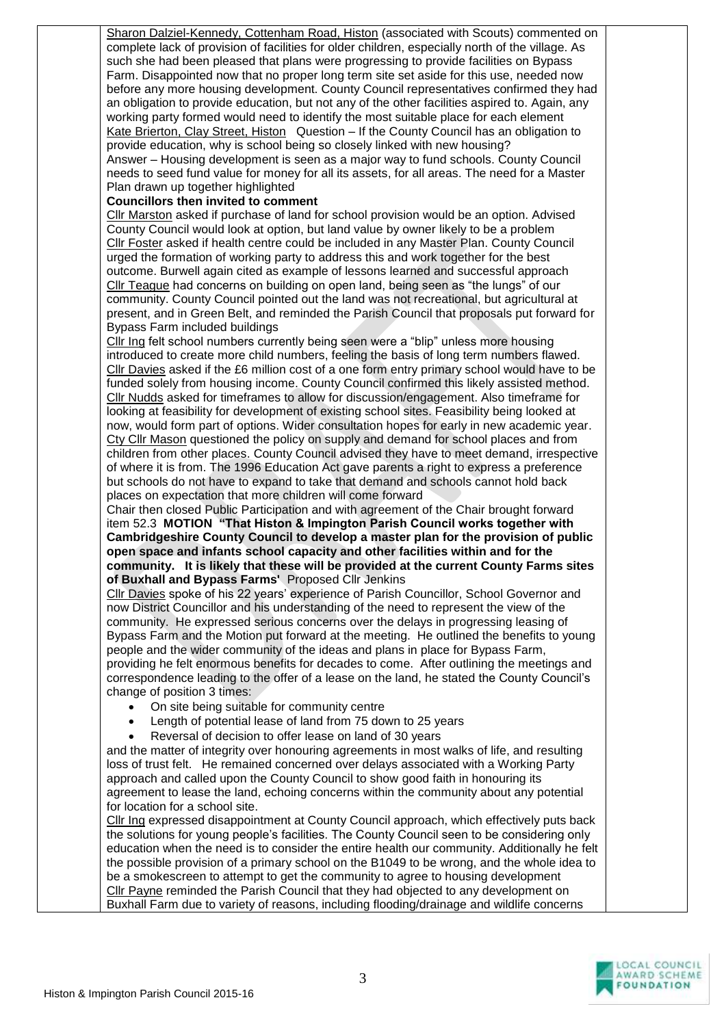Sharon Dalziel-Kennedy, Cottenham Road, Histon (associated with Scouts) commented on complete lack of provision of facilities for older children, especially north of the village. As such she had been pleased that plans were progressing to provide facilities on Bypass Farm. Disappointed now that no proper long term site set aside for this use, needed now before any more housing development. County Council representatives confirmed they had an obligation to provide education, but not any of the other facilities aspired to. Again, any working party formed would need to identify the most suitable place for each element Kate Brierton, Clay Street, Histon Question – If the County Council has an obligation to provide education, why is school being so closely linked with new housing? Answer – Housing development is seen as a major way to fund schools. County Council needs to seed fund value for money for all its assets, for all areas. The need for a Master Plan drawn up together highlighted

## **Councillors then invited to comment**

Cllr Marston asked if purchase of land for school provision would be an option. Advised County Council would look at option, but land value by owner likely to be a problem Cllr Foster asked if health centre could be included in any Master Plan. County Council urged the formation of working party to address this and work together for the best outcome. Burwell again cited as example of lessons learned and successful approach Cllr Teague had concerns on building on open land, being seen as "the lungs" of our community. County Council pointed out the land was not recreational, but agricultural at present, and in Green Belt, and reminded the Parish Council that proposals put forward for Bypass Farm included buildings

Cllr Ing felt school numbers currently being seen were a "blip" unless more housing introduced to create more child numbers, feeling the basis of long term numbers flawed. Cllr Davies asked if the £6 million cost of a one form entry primary school would have to be funded solely from housing income. County Council confirmed this likely assisted method. Cllr Nudds asked for timeframes to allow for discussion/engagement. Also timeframe for looking at feasibility for development of existing school sites. Feasibility being looked at now, would form part of options. Wider consultation hopes for early in new academic year. Cty Cllr Mason questioned the policy on supply and demand for school places and from children from other places. County Council advised they have to meet demand, irrespective of where it is from. The 1996 Education Act gave parents a right to express a preference but schools do not have to expand to take that demand and schools cannot hold back places on expectation that more children will come forward

Chair then closed Public Participation and with agreement of the Chair brought forward item 52.3 **MOTION "That Histon & Impington Parish Council works together with Cambridgeshire County Council to develop a master plan for the provision of public open space and infants school capacity and other facilities within and for the community. It is likely that these will be provided at the current County Farms sites of Buxhall and Bypass Farms'** Proposed Cllr Jenkins

Cllr Davies spoke of his 22 years' experience of Parish Councillor, School Governor and now District Councillor and his understanding of the need to represent the view of the community. He expressed serious concerns over the delays in progressing leasing of Bypass Farm and the Motion put forward at the meeting. He outlined the benefits to young people and the wider community of the ideas and plans in place for Bypass Farm, providing he felt enormous benefits for decades to come. After outlining the meetings and correspondence leading to the offer of a lease on the land, he stated the County Council's change of position 3 times:

- On site being suitable for community centre
- Length of potential lease of land from 75 down to 25 years
- Reversal of decision to offer lease on land of 30 years

and the matter of integrity over honouring agreements in most walks of life, and resulting loss of trust felt. He remained concerned over delays associated with a Working Party approach and called upon the County Council to show good faith in honouring its agreement to lease the land, echoing concerns within the community about any potential for location for a school site.

Cllr Ing expressed disappointment at County Council approach, which effectively puts back the solutions for young people's facilities. The County Council seen to be considering only education when the need is to consider the entire health our community. Additionally he felt the possible provision of a primary school on the B1049 to be wrong, and the whole idea to be a smokescreen to attempt to get the community to agree to housing development Cllr Payne reminded the Parish Council that they had objected to any development on Buxhall Farm due to variety of reasons, including flooding/drainage and wildlife concerns

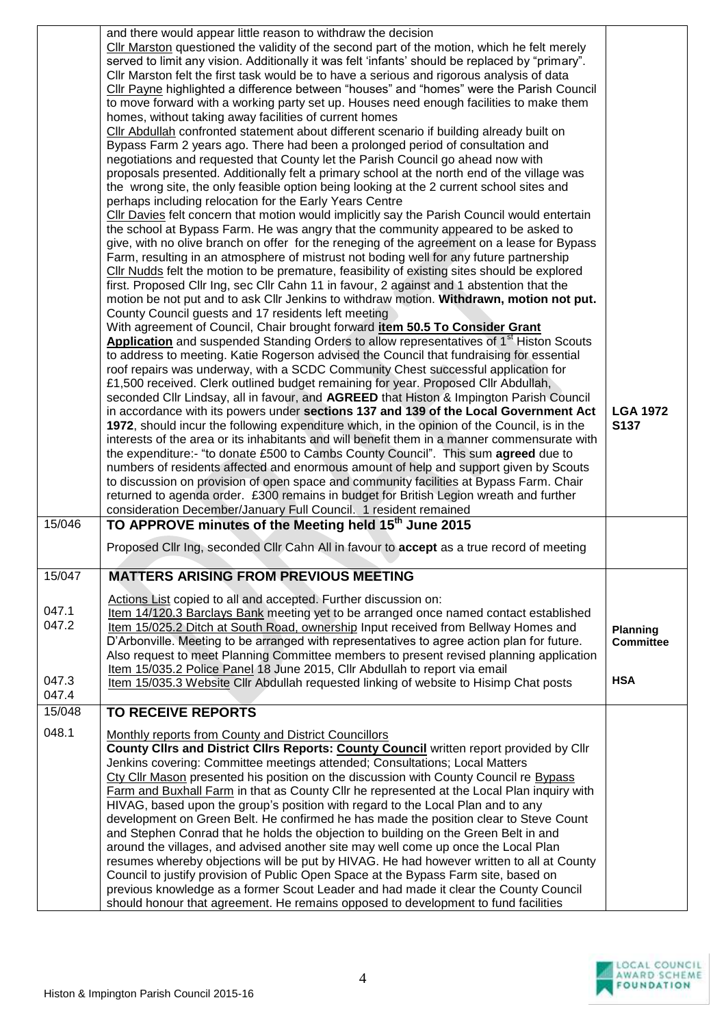|        | and there would appear little reason to withdraw the decision                                                                                                                                  |                                     |
|--------|------------------------------------------------------------------------------------------------------------------------------------------------------------------------------------------------|-------------------------------------|
|        | Cllr Marston questioned the validity of the second part of the motion, which he felt merely<br>served to limit any vision. Additionally it was felt 'infants' should be replaced by "primary". |                                     |
|        | Cllr Marston felt the first task would be to have a serious and rigorous analysis of data                                                                                                      |                                     |
|        | Cllr Payne highlighted a difference between "houses" and "homes" were the Parish Council                                                                                                       |                                     |
|        | to move forward with a working party set up. Houses need enough facilities to make them                                                                                                        |                                     |
|        | homes, without taking away facilities of current homes                                                                                                                                         |                                     |
|        | CIIr Abdullah confronted statement about different scenario if building already built on                                                                                                       |                                     |
|        | Bypass Farm 2 years ago. There had been a prolonged period of consultation and                                                                                                                 |                                     |
|        | negotiations and requested that County let the Parish Council go ahead now with<br>proposals presented. Additionally felt a primary school at the north end of the village was                 |                                     |
|        | the wrong site, the only feasible option being looking at the 2 current school sites and                                                                                                       |                                     |
|        | perhaps including relocation for the Early Years Centre                                                                                                                                        |                                     |
|        | Cllr Davies felt concern that motion would implicitly say the Parish Council would entertain                                                                                                   |                                     |
|        | the school at Bypass Farm. He was angry that the community appeared to be asked to                                                                                                             |                                     |
|        | give, with no olive branch on offer for the reneging of the agreement on a lease for Bypass                                                                                                    |                                     |
|        | Farm, resulting in an atmosphere of mistrust not boding well for any future partnership                                                                                                        |                                     |
|        | CIIr Nudds felt the motion to be premature, feasibility of existing sites should be explored<br>first. Proposed Cllr Ing, sec Cllr Cahn 11 in favour, 2 against and 1 abstention that the      |                                     |
|        | motion be not put and to ask Cllr Jenkins to withdraw motion. Withdrawn, motion not put.                                                                                                       |                                     |
|        | County Council guests and 17 residents left meeting                                                                                                                                            |                                     |
|        | With agreement of Council, Chair brought forward item 50.5 To Consider Grant                                                                                                                   |                                     |
|        | Application and suspended Standing Orders to allow representatives of 1 <sup>st</sup> Histon Scouts                                                                                            |                                     |
|        | to address to meeting. Katie Rogerson advised the Council that fundraising for essential                                                                                                       |                                     |
|        | roof repairs was underway, with a SCDC Community Chest successful application for                                                                                                              |                                     |
|        | £1,500 received. Clerk outlined budget remaining for year. Proposed Cllr Abdullah,                                                                                                             |                                     |
|        | seconded Cllr Lindsay, all in favour, and AGREED that Histon & Impington Parish Council<br>in accordance with its powers under sections 137 and 139 of the Local Government Act                | <b>LGA 1972</b>                     |
|        | 1972, should incur the following expenditure which, in the opinion of the Council, is in the                                                                                                   | S137                                |
|        | interests of the area or its inhabitants and will benefit them in a manner commensurate with                                                                                                   |                                     |
|        | the expenditure:- "to donate £500 to Cambs County Council". This sum agreed due to                                                                                                             |                                     |
|        | numbers of residents affected and enormous amount of help and support given by Scouts                                                                                                          |                                     |
|        | to discussion on provision of open space and community facilities at Bypass Farm. Chair                                                                                                        |                                     |
|        | returned to agenda order. £300 remains in budget for British Legion wreath and further                                                                                                         |                                     |
| 15/046 | consideration December/January Full Council. 1 resident remained<br>TO APPROVE minutes of the Meeting held 15 <sup>th</sup> June 2015                                                          |                                     |
|        |                                                                                                                                                                                                |                                     |
|        | Proposed Cllr Ing, seconded Cllr Cahn All in favour to accept as a true record of meeting                                                                                                      |                                     |
| 15/047 | <b>MATTERS ARISING FROM PREVIOUS MEETING</b>                                                                                                                                                   |                                     |
|        |                                                                                                                                                                                                |                                     |
| 047.1  | Actions List copied to all and accepted. Further discussion on:                                                                                                                                |                                     |
| 047.2  | Item 14/120.3 Barclays Bank meeting yet to be arranged once named contact established                                                                                                          |                                     |
|        | Item 15/025.2 Ditch at South Road, ownership Input received from Bellway Homes and<br>D'Arbonville. Meeting to be arranged with representatives to agree action plan for future.               | <b>Planning</b><br><b>Committee</b> |
|        | Also request to meet Planning Committee members to present revised planning application                                                                                                        |                                     |
|        | Item 15/035.2 Police Panel 18 June 2015, Cllr Abdullah to report via email                                                                                                                     |                                     |
| 047.3  | Item 15/035.3 Website Cllr Abdullah requested linking of website to Hisimp Chat posts                                                                                                          | <b>HSA</b>                          |
| 047.4  |                                                                                                                                                                                                |                                     |
| 15/048 | <b>TO RECEIVE REPORTS</b>                                                                                                                                                                      |                                     |
| 048.1  | Monthly reports from County and District Councillors                                                                                                                                           |                                     |
|        | County Clirs and District Clirs Reports: County Council written report provided by Clir                                                                                                        |                                     |
|        | Jenkins covering: Committee meetings attended; Consultations; Local Matters<br>Cty Cllr Mason presented his position on the discussion with County Council re Bypass                           |                                     |
|        | Farm and Buxhall Farm in that as County Cllr he represented at the Local Plan inquiry with                                                                                                     |                                     |
|        | HIVAG, based upon the group's position with regard to the Local Plan and to any                                                                                                                |                                     |
|        | development on Green Belt. He confirmed he has made the position clear to Steve Count                                                                                                          |                                     |
|        | and Stephen Conrad that he holds the objection to building on the Green Belt in and                                                                                                            |                                     |
|        | around the villages, and advised another site may well come up once the Local Plan                                                                                                             |                                     |
|        | resumes whereby objections will be put by HIVAG. He had however written to all at County                                                                                                       |                                     |
|        | Council to justify provision of Public Open Space at the Bypass Farm site, based on                                                                                                            |                                     |
|        | previous knowledge as a former Scout Leader and had made it clear the County Council<br>should honour that agreement. He remains opposed to development to fund facilities                     |                                     |
|        |                                                                                                                                                                                                |                                     |

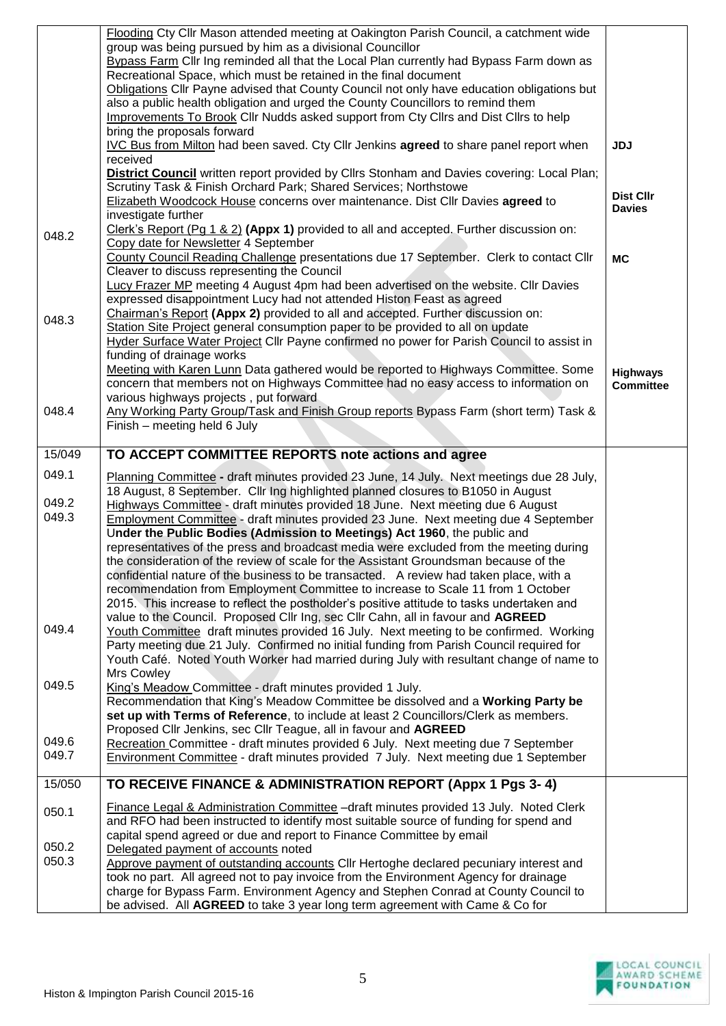|        | Flooding Cty Cllr Mason attended meeting at Oakington Parish Council, a catchment wide                                                                                            |                  |
|--------|-----------------------------------------------------------------------------------------------------------------------------------------------------------------------------------|------------------|
|        | group was being pursued by him as a divisional Councillor                                                                                                                         |                  |
|        | Bypass Farm Cllr Ing reminded all that the Local Plan currently had Bypass Farm down as<br>Recreational Space, which must be retained in the final document                       |                  |
|        | Obligations Cllr Payne advised that County Council not only have education obligations but                                                                                        |                  |
|        | also a public health obligation and urged the County Councillors to remind them                                                                                                   |                  |
|        | Improvements To Brook Cllr Nudds asked support from Cty Cllrs and Dist Cllrs to help                                                                                              |                  |
|        | bring the proposals forward                                                                                                                                                       |                  |
|        | IVC Bus from Milton had been saved. Cty Cllr Jenkins agreed to share panel report when                                                                                            | <b>JDJ</b>       |
|        | received                                                                                                                                                                          |                  |
|        | District Council written report provided by Cllrs Stonham and Davies covering: Local Plan;<br>Scrutiny Task & Finish Orchard Park; Shared Services; Northstowe                    |                  |
|        | Elizabeth Woodcock House concerns over maintenance. Dist Cllr Davies agreed to                                                                                                    | <b>Dist Cllr</b> |
|        | investigate further                                                                                                                                                               | <b>Davies</b>    |
|        | Clerk's Report (Pg 1 & 2) (Appx 1) provided to all and accepted. Further discussion on:                                                                                           |                  |
| 048.2  | Copy date for Newsletter 4 September                                                                                                                                              |                  |
|        | County Council Reading Challenge presentations due 17 September. Clerk to contact Cllr                                                                                            | <b>MC</b>        |
|        | Cleaver to discuss representing the Council                                                                                                                                       |                  |
|        | Lucy Frazer MP meeting 4 August 4pm had been advertised on the website. Cllr Davies                                                                                               |                  |
|        | expressed disappointment Lucy had not attended Histon Feast as agreed<br>Chairman's Report (Appx 2) provided to all and accepted. Further discussion on:                          |                  |
| 048.3  | Station Site Project general consumption paper to be provided to all on update                                                                                                    |                  |
|        | Hyder Surface Water Project Cllr Payne confirmed no power for Parish Council to assist in                                                                                         |                  |
|        | funding of drainage works                                                                                                                                                         |                  |
|        | Meeting with Karen Lunn Data gathered would be reported to Highways Committee. Some                                                                                               | <b>Highways</b>  |
|        | concern that members not on Highways Committee had no easy access to information on                                                                                               | <b>Committee</b> |
|        | various highways projects, put forward                                                                                                                                            |                  |
| 048.4  | Any Working Party Group/Task and Finish Group reports Bypass Farm (short term) Task &                                                                                             |                  |
|        | Finish - meeting held 6 July                                                                                                                                                      |                  |
| 15/049 | TO ACCEPT COMMITTEE REPORTS note actions and agree                                                                                                                                |                  |
|        |                                                                                                                                                                                   |                  |
| 049.1  | Planning Committee - draft minutes provided 23 June, 14 July. Next meetings due 28 July,                                                                                          |                  |
| 049.2  | 18 August, 8 September. Cllr Ing highlighted planned closures to B1050 in August                                                                                                  |                  |
| 049.3  | Highways Committee - draft minutes provided 18 June. Next meeting due 6 August<br>Employment Committee - draft minutes provided 23 June. Next meeting due 4 September             |                  |
|        | Under the Public Bodies (Admission to Meetings) Act 1960, the public and                                                                                                          |                  |
|        | representatives of the press and broadcast media were excluded from the meeting during                                                                                            |                  |
|        | the consideration of the review of scale for the Assistant Groundsman because of the                                                                                              |                  |
|        | confidential nature of the business to be transacted. A review had taken place, with a                                                                                            |                  |
|        | recommendation from Employment Committee to increase to Scale 11 from 1 October                                                                                                   |                  |
|        | 2015. This increase to reflect the postholder's positive attitude to tasks undertaken and                                                                                         |                  |
| 049.4  | value to the Council. Proposed Cllr Ing, sec Cllr Cahn, all in favour and AGREED                                                                                                  |                  |
|        | Youth Committee draft minutes provided 16 July. Next meeting to be confirmed. Working<br>Party meeting due 21 July. Confirmed no initial funding from Parish Council required for |                  |
|        | Youth Café. Noted Youth Worker had married during July with resultant change of name to                                                                                           |                  |
|        | Mrs Cowley                                                                                                                                                                        |                  |
| 049.5  | King's Meadow Committee - draft minutes provided 1 July.                                                                                                                          |                  |
|        | Recommendation that King's Meadow Committee be dissolved and a Working Party be                                                                                                   |                  |
|        | set up with Terms of Reference, to include at least 2 Councillors/Clerk as members.                                                                                               |                  |
| 049.6  | Proposed Cllr Jenkins, sec Cllr Teague, all in favour and AGREED                                                                                                                  |                  |
| 049.7  | Recreation Committee - draft minutes provided 6 July. Next meeting due 7 September                                                                                                |                  |
|        | Environment Committee - draft minutes provided 7 July. Next meeting due 1 September                                                                                               |                  |
| 15/050 |                                                                                                                                                                                   |                  |
|        | TO RECEIVE FINANCE & ADMINISTRATION REPORT (Appx 1 Pgs 3-4)                                                                                                                       |                  |
|        |                                                                                                                                                                                   |                  |
| 050.1  | Finance Legal & Administration Committee -draft minutes provided 13 July. Noted Clerk                                                                                             |                  |
|        | and RFO had been instructed to identify most suitable source of funding for spend and                                                                                             |                  |
| 050.2  | capital spend agreed or due and report to Finance Committee by email<br>Delegated payment of accounts noted                                                                       |                  |
| 050.3  | Approve payment of outstanding accounts CIIr Hertoghe declared pecuniary interest and                                                                                             |                  |
|        | took no part. All agreed not to pay invoice from the Environment Agency for drainage                                                                                              |                  |
|        | charge for Bypass Farm. Environment Agency and Stephen Conrad at County Council to<br>be advised. All AGREED to take 3 year long term agreement with Came & Co for                |                  |